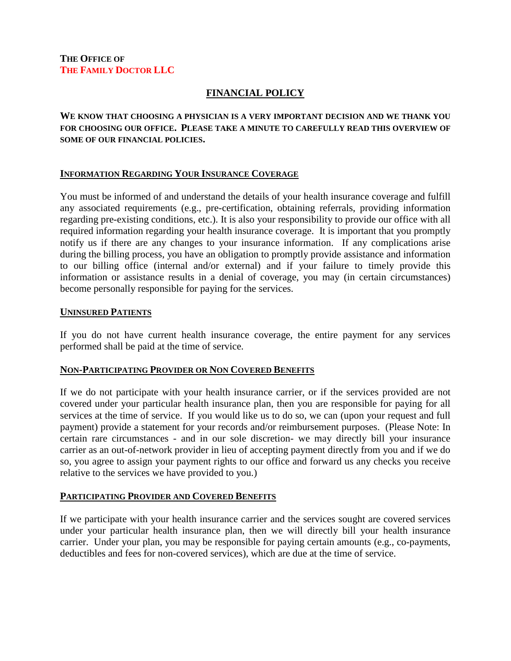# **FINANCIAL POLICY**

**WE KNOW THAT CHOOSING A PHYSICIAN IS A VERY IMPORTANT DECISION AND WE THANK YOU FOR CHOOSING OUR OFFICE. PLEASE TAKE A MINUTE TO CAREFULLY READ THIS OVERVIEW OF SOME OF OUR FINANCIAL POLICIES.** 

### **INFORMATION REGARDING YOUR INSURANCE COVERAGE**

You must be informed of and understand the details of your health insurance coverage and fulfill any associated requirements (e.g., pre-certification, obtaining referrals, providing information regarding pre-existing conditions, etc.). It is also your responsibility to provide our office with all required information regarding your health insurance coverage. It is important that you promptly notify us if there are any changes to your insurance information. If any complications arise during the billing process, you have an obligation to promptly provide assistance and information to our billing office (internal and/or external) and if your failure to timely provide this information or assistance results in a denial of coverage, you may (in certain circumstances) become personally responsible for paying for the services.

#### **UNINSURED PATIENTS**

If you do not have current health insurance coverage, the entire payment for any services performed shall be paid at the time of service.

### **NON-PARTICIPATING PROVIDER OR NON COVERED BENEFITS**

If we do not participate with your health insurance carrier, or if the services provided are not covered under your particular health insurance plan, then you are responsible for paying for all services at the time of service. If you would like us to do so, we can (upon your request and full payment) provide a statement for your records and/or reimbursement purposes. (Please Note: In certain rare circumstances - and in our sole discretion- we may directly bill your insurance carrier as an out-of-network provider in lieu of accepting payment directly from you and if we do so, you agree to assign your payment rights to our office and forward us any checks you receive relative to the services we have provided to you.)

### **PARTICIPATING PROVIDER AND COVERED BENEFITS**

If we participate with your health insurance carrier and the services sought are covered services under your particular health insurance plan, then we will directly bill your health insurance carrier. Under your plan, you may be responsible for paying certain amounts (e.g., co-payments, deductibles and fees for non-covered services), which are due at the time of service.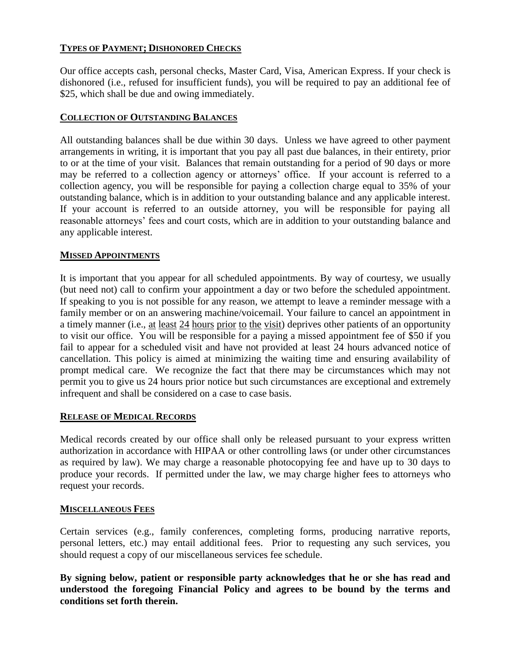# **TYPES OF PAYMENT; DISHONORED CHECKS**

Our office accepts cash, personal checks, Master Card, Visa, American Express. If your check is dishonored (i.e., refused for insufficient funds), you will be required to pay an additional fee of \$25, which shall be due and owing immediately.

## **COLLECTION OF OUTSTANDING BALANCES**

All outstanding balances shall be due within 30 days. Unless we have agreed to other payment arrangements in writing, it is important that you pay all past due balances, in their entirety, prior to or at the time of your visit. Balances that remain outstanding for a period of 90 days or more may be referred to a collection agency or attorneys' office. If your account is referred to a collection agency, you will be responsible for paying a collection charge equal to 35% of your outstanding balance, which is in addition to your outstanding balance and any applicable interest. If your account is referred to an outside attorney, you will be responsible for paying all reasonable attorneys' fees and court costs, which are in addition to your outstanding balance and any applicable interest.

### **MISSED APPOINTMENTS**

It is important that you appear for all scheduled appointments. By way of courtesy, we usually (but need not) call to confirm your appointment a day or two before the scheduled appointment. If speaking to you is not possible for any reason, we attempt to leave a reminder message with a family member or on an answering machine/voicemail. Your failure to cancel an appointment in a timely manner (i.e., at least 24 hours prior to the visit) deprives other patients of an opportunity to visit our office. You will be responsible for a paying a missed appointment fee of \$50 if you fail to appear for a scheduled visit and have not provided at least 24 hours advanced notice of cancellation. This policy is aimed at minimizing the waiting time and ensuring availability of prompt medical care. We recognize the fact that there may be circumstances which may not permit you to give us 24 hours prior notice but such circumstances are exceptional and extremely infrequent and shall be considered on a case to case basis.

### **RELEASE OF MEDICAL RECORDS**

Medical records created by our office shall only be released pursuant to your express written authorization in accordance with HIPAA or other controlling laws (or under other circumstances as required by law). We may charge a reasonable photocopying fee and have up to 30 days to produce your records. If permitted under the law, we may charge higher fees to attorneys who request your records.

### **MISCELLANEOUS FEES**

Certain services (e.g., family conferences, completing forms, producing narrative reports, personal letters, etc.) may entail additional fees. Prior to requesting any such services, you should request a copy of our miscellaneous services fee schedule.

**By signing below, patient or responsible party acknowledges that he or she has read and understood the foregoing Financial Policy and agrees to be bound by the terms and conditions set forth therein.**